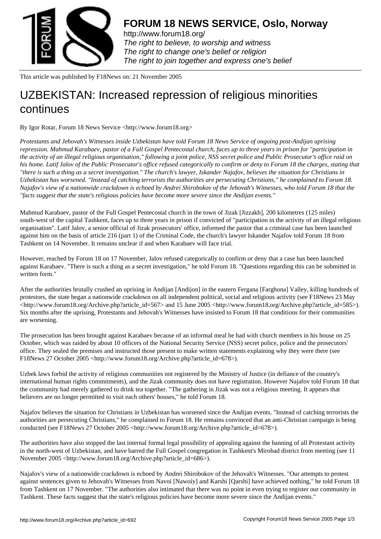

http://www.forum18.org/ The right to believe, to worship and witness The right to change one's belief or religion [The right to join together](http://www.forum18.org/) and express one's belief

This article was published by F18News on: 21 November 2005

## [UZBEKISTAN: Inc](http://www.forum18.org)reased repression of religious minorities continues

By Igor Rotar, Forum 18 News Service <http://www.forum18.org>

*Protestants and Jehovah's Witnesses inside Uzbekistan have told Forum 18 News Service of ongoing post-Andijan uprising repression. Mahmud Karabaev, pastor of a Full Gospel Pentecostal church, faces up to three years in prison for "participation in the activity of an illegal religious organisation," following a joint police, NSS secret police and Public Prosecutor's office raid on his home. Latif Jalov of the Public Prosecutor's office refused categorically to confirm or deny to Forum 18 the charges, stating that "there is such a thing as a secret investigation." The church's lawyer, Iskander Najafov, believes the situation for Christians in Uzbekistan has worsened. "Instead of catching terrorists the authorities are persecuting Christians," he complained to Forum 18. Najafov's view of a nationwide crackdown is echoed by Andrei Shirobokov of the Jehovah's Witnesses, who told Forum 18 that the "facts suggest that the state's religious policies have become more severe since the Andijan events."*

Mahmud Karabaev, pastor of the Full Gospel Pentecostal church in the town of Jizak [Jizzakh], 200 kilometres (125 miles) south-west of the capital Tashkent, faces up to three years in prison if convicted of "participation in the activity of an illegal religious organisation". Latif Jalov, a senior official of Jizak prosecutors' office, informed the pastor that a criminal case has been launched against him on the basis of article 216 (part 1) of the Criminal Code, the church's lawyer Iskander Najafov told Forum 18 from Tashkent on 14 November. It remains unclear if and when Karabaev will face trial.

However, reached by Forum 18 on 17 November, Jalov refused categorically to confirm or deny that a case has been launched against Karabaev. "There is such a thing as a secret investigation," he told Forum 18. "Questions regarding this can be submitted in written form."

After the authorities brutally crushed an uprising in Andijan [Andijon] in the eastern Fergana [Farghona] Valley, killing hundreds of protestors, the state began a nationwide crackdown on all independent political, social and religious activity (see F18News 23 May <http://www.forum18.org/Archive.php?article\_id=567> and 15 June 2005 <http://www.forum18.org/Archive.php?article\_id=585>). Six months after the uprising, Protestants and Jehovah's Witnesses have insisted to Forum 18 that conditions for their communities are worsening.

The prosecution has been brought against Karabaev because of an informal meal he had with church members in his house on 25 October, which was raided by about 10 officers of the National Security Service (NSS) secret police, police and the prosecutors' office. They sealed the premises and instructed those present to make written statements explaining why they were there (see F18News 27 October 2005 <http://www.forum18.org/Archive.php?article\_id=678>).

Uzbek laws forbid the activity of religious communities not registered by the Ministry of Justice (in defiance of the country's international human rights commitments), and the Jizak community does not have registration. However Najafov told Forum 18 that the community had merely gathered to drink tea together. "The gathering in Jizak was not a religious meeting. It appears that believers are no longer permitted to visit each others' houses," he told Forum 18.

Najafov believes the situation for Christians in Uzbekistan has worsened since the Andijan events. "Instead of catching terrorists the authorities are persecuting Christians," he complained to Forum 18. He remains convinced that an anti-Christian campaign is being conducted (see F18News 27 October 2005 <http://www.forum18.org/Archive.php?article\_id=678>).

The authorities have also stopped the last internal formal legal possibility of appealing against the banning of all Protestant activity in the north-west of Uzbekistan, and have barred the Full Gospel congregation in Tashkent's Mirobad district from meeting (see 11 November 2005 <http://www.forum18.org/Archive.php?article\_id=686>).

Najafov's view of a nationwide crackdown is echoed by Andrei Shirobokov of the Jehovah's Witnesses. "Our attempts to protest against sentences given to Jehovah's Witnesses from Navoi [Nawoiy] and Karshi [Qarshi] have achieved nothing," he told Forum 18 from Tashkent on 17 November. "The authorities also intimated that there was no point in even trying to register our community in Tashkent. These facts suggest that the state's religious policies have become more severe since the Andijan events."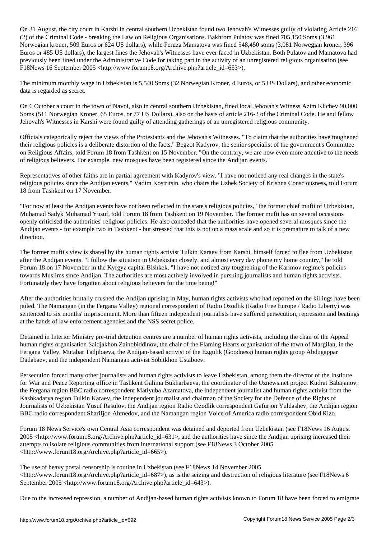On 31 August, the city court in Karshi in central southern Uzbekistan found two Jehovah's Witnesses guilty of violating Article 216 (2) of the Criminal Code - breaking the Law on Religious Organisations. Bakhrom Pulatov was fined 705,150 Soms (3,961 Norwegian kroner, 509 Euros or 624 US dollars), while Feruza Mamatova was fined 548,450 soms (3,081 Norwegian kroner, 396 Euros or 485 US dollars), the largest fines the Jehovah's Witnesses have ever faced in Uzbekistan. Both Pulatov and Mamatova had previously been fined under the Administrative Code for taking part in the activity of an unregistered religious organisation (see F18News 16 September 2005 <http://www.forum18.org/Archive.php?article\_id=653>).

The minimum monthly wage in Uzbekistan is 5,540 Soms (32 Norwegian Kroner, 4 Euros, or 5 US Dollars), and other economic data is regarded as secret.

On 6 October a court in the town of Navoi, also in central southern Uzbekistan, fined local Jehovah's Witness Azim Klichev 90,000 Soms (511 Norwegian Kroner, 65 Euros, or 77 US Dollars), also on the basis of article 216-2 of the Criminal Code. He and fellow Jehovah's Witnesses in Karshi were found guilty of attending gatherings of an unregistered religious community.

Officials categorically reject the views of the Protestants and the Jehovah's Witnesses. "To claim that the authorities have toughened their religious policies is a deliberate distortion of the facts," Begzot Kadyrov, the senior specialist of the government's Committee on Religious Affairs, told Forum 18 from Tashkent on 15 November. "On the contrary, we are now even more attentive to the needs of religious believers. For example, new mosques have been registered since the Andijan events."

Representatives of other faiths are in partial agreement with Kadyrov's view. "I have not noticed any real changes in the state's religious policies since the Andijan events," Vadim Kostritsin, who chairs the Uzbek Society of Krishna Consciousness, told Forum 18 from Tashkent on 17 November.

"For now at least the Andijan events have not been reflected in the state's religious policies," the former chief mufti of Uzbekistan, Muhamad Sadyk Muhamad Yusuf, told Forum 18 from Tashkent on 19 November. The former mufti has on several occasions openly criticised the authorities' religious policies. He also conceded that the authorities have opened several mosques since the Andijan events - for example two in Tashkent - but stressed that this is not on a mass scale and so it is premature to talk of a new direction.

The former mufti's view is shared by the human rights activist Tulkin Karaev from Karshi, himself forced to flee from Uzbekistan after the Andijan events. "I follow the situation in Uzbekistan closely, and almost every day phone my home country," he told Forum 18 on 17 November in the Kyrgyz capital Bishkek. "I have not noticed any toughening of the Karimov regime's policies towards Muslims since Andijan. The authorities are most actively involved in pursuing journalists and human rights activists. Fortunately they have forgotten about religious believers for the time being!"

After the authorities brutally crushed the Andijan uprising in May, human rights activists who had reported on the killings have been jailed. The Namangan (in the Fergana Valley) regional correspondent of Radio Ozodlik (Radio Free Europe / Radio Liberty) was sentenced to six months' imprisonment. More than fifteen independent journalists have suffered persecution, repression and beatings at the hands of law enforcement agencies and the NSS secret police.

Detained in Interior Ministry pre-trial detention centres are a number of human rights activists, including the chair of the Appeal human rights organisation Saidjakhon Zainobiddinov, the chair of the Flaming Hearts organisation of the town of Margilan, in the Fergana Valley, Mutabar Tadjibaeva, the Andijan-based activist of the Ezgulik (Goodness) human rights group Abdugappar Dadabaev, and the independent Namangan activist Sobitkhon Ustaboev.

Persecution forced many other journalists and human rights activists to leave Uzbekistan, among them the director of the Institute for War and Peace Reporting office in Tashkent Galima Bukharbaeva, the coordinator of the Uznews.net project Kudrat Babajanov, the Fergana region BBC radio correspondent Matlyuba Azamatova, the independent journalist and human rights activist from the Kashkadarya region Tulkin Karaev, the independent journalist and chairman of the Society for the Defence of the Rights of Journalists of Uzbekistan Yusuf Rasulov, the Andijan region Radio Ozodlik correspondent Gafurjon Yuldashev, the Andijan region BBC radio correspondent Sharifjon Ahmedov, and the Namangan region Voice of America radio correspondent Obid Rizo.

Forum 18 News Service's own Central Asia correspondent was detained and deported from Uzbekistan (see F18News 16 August 2005 <http://www.forum18.org/Archive.php?article\_id=631>, and the authorities have since the Andijan uprising increased their attempts to isolate religious communities from international support (see F18News 3 October 2005 <http://www.forum18.org/Archive.php?article\_id=665>).

The use of heavy postal censorship is routine in Uzbekistan (see F18News 14 November 2005  $\text{http://www.forum18.org/Archive.php?article_id=687>), as is the seizing and destruction of religious literature (see F18News 6$ September 2005 <http://www.forum18.org/Archive.php?article\_id=643>).

Due to the increased repression, a number of Andijan-based human rights activists known to Forum 18 have been forced to emigrate